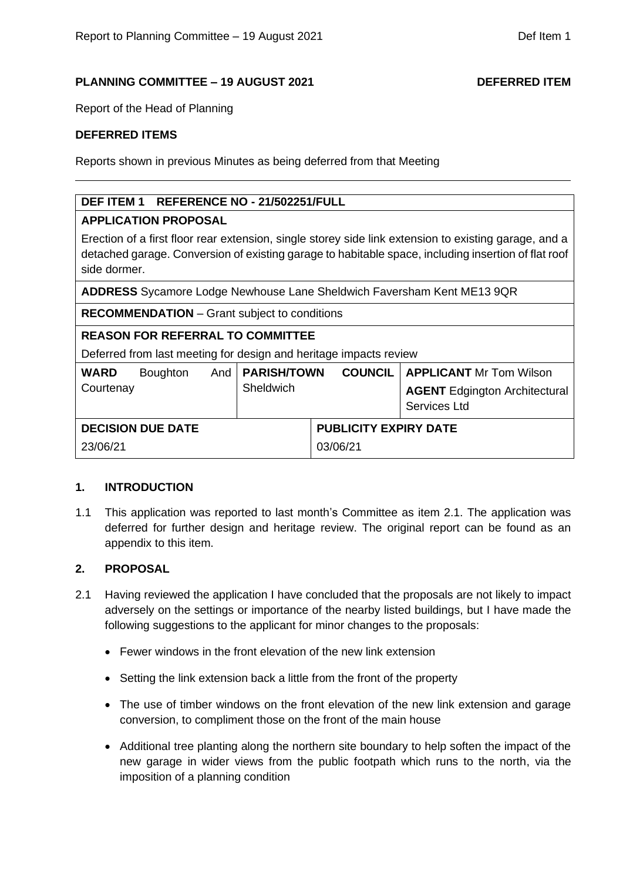### **PLANNING COMMITTEE – 19 AUGUST 2021 DEFERRED ITEM**

Report of the Head of Planning

### **DEFERRED ITEMS**

Reports shown in previous Minutes as being deferred from that Meeting

# **DEF ITEM 1 REFERENCE NO - 21/502251/FULL**

### **APPLICATION PROPOSAL**

Erection of a first floor rear extension, single storey side link extension to existing garage, and a detached garage. Conversion of existing garage to habitable space, including insertion of flat roof side dormer.

**ADDRESS** Sycamore Lodge Newhouse Lane Sheldwich Faversham Kent ME13 9QR

**RECOMMENDATION** – Grant subject to conditions

## **REASON FOR REFERRAL TO COMMITTEE**

Deferred from last meeting for design and heritage impacts review

| <b>WARD</b><br>Courtenay | <b>Boughton</b> |  | And   PARISH/TOWN<br>Sheldwich |                              | <b>COUNCIL   APPLICANT Mr Tom Wilson</b><br><b>AGENT</b> Edgington Architectural<br>Services Ltd |
|--------------------------|-----------------|--|--------------------------------|------------------------------|--------------------------------------------------------------------------------------------------|
| <b>DECISION DUE DATE</b> |                 |  |                                | <b>PUBLICITY EXPIRY DATE</b> |                                                                                                  |
| 23/06/21                 |                 |  |                                | 03/06/21                     |                                                                                                  |

### **1. INTRODUCTION**

1.1 This application was reported to last month's Committee as item 2.1. The application was deferred for further design and heritage review. The original report can be found as an appendix to this item.

# **2. PROPOSAL**

- 2.1 Having reviewed the application I have concluded that the proposals are not likely to impact adversely on the settings or importance of the nearby listed buildings, but I have made the following suggestions to the applicant for minor changes to the proposals:
	- Fewer windows in the front elevation of the new link extension
	- Setting the link extension back a little from the front of the property
	- The use of timber windows on the front elevation of the new link extension and garage conversion, to compliment those on the front of the main house
	- Additional tree planting along the northern site boundary to help soften the impact of the new garage in wider views from the public footpath which runs to the north, via the imposition of a planning condition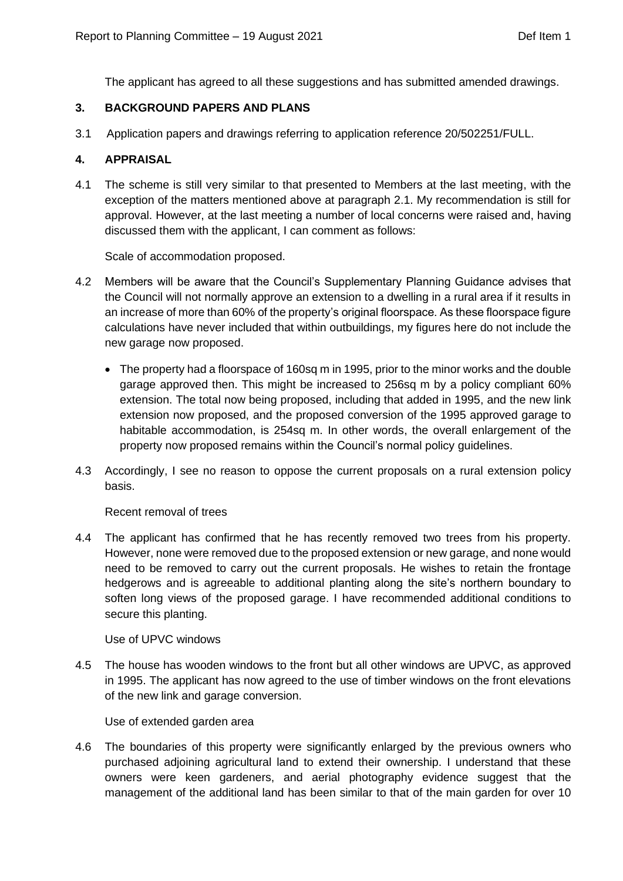The applicant has agreed to all these suggestions and has submitted amended drawings.

## **3. BACKGROUND PAPERS AND PLANS**

3.1 Application papers and drawings referring to application reference 20/502251/FULL.

## **4. APPRAISAL**

4.1 The scheme is still very similar to that presented to Members at the last meeting, with the exception of the matters mentioned above at paragraph 2.1. My recommendation is still for approval. However, at the last meeting a number of local concerns were raised and, having discussed them with the applicant, I can comment as follows:

Scale of accommodation proposed.

- 4.2 Members will be aware that the Council's Supplementary Planning Guidance advises that the Council will not normally approve an extension to a dwelling in a rural area if it results in an increase of more than 60% of the property's original floorspace. As these floorspace figure calculations have never included that within outbuildings, my figures here do not include the new garage now proposed.
	- The property had a floorspace of 160sq m in 1995, prior to the minor works and the double garage approved then. This might be increased to 256sq m by a policy compliant 60% extension. The total now being proposed, including that added in 1995, and the new link extension now proposed, and the proposed conversion of the 1995 approved garage to habitable accommodation, is 254sq m. In other words, the overall enlargement of the property now proposed remains within the Council's normal policy guidelines.
- 4.3 Accordingly, I see no reason to oppose the current proposals on a rural extension policy basis.

Recent removal of trees

4.4 The applicant has confirmed that he has recently removed two trees from his property. However, none were removed due to the proposed extension or new garage, and none would need to be removed to carry out the current proposals. He wishes to retain the frontage hedgerows and is agreeable to additional planting along the site's northern boundary to soften long views of the proposed garage. I have recommended additional conditions to secure this planting.

### Use of UPVC windows

4.5 The house has wooden windows to the front but all other windows are UPVC, as approved in 1995. The applicant has now agreed to the use of timber windows on the front elevations of the new link and garage conversion.

Use of extended garden area

4.6 The boundaries of this property were significantly enlarged by the previous owners who purchased adjoining agricultural land to extend their ownership. I understand that these owners were keen gardeners, and aerial photography evidence suggest that the management of the additional land has been similar to that of the main garden for over 10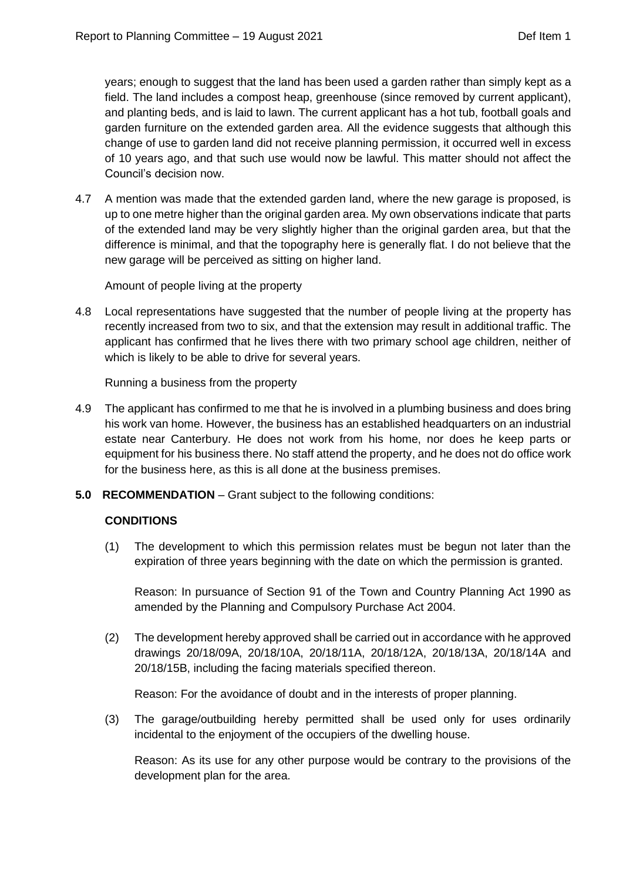years; enough to suggest that the land has been used a garden rather than simply kept as a field. The land includes a compost heap, greenhouse (since removed by current applicant), and planting beds, and is laid to lawn. The current applicant has a hot tub, football goals and garden furniture on the extended garden area. All the evidence suggests that although this change of use to garden land did not receive planning permission, it occurred well in excess of 10 years ago, and that such use would now be lawful. This matter should not affect the Council's decision now.

4.7 A mention was made that the extended garden land, where the new garage is proposed, is up to one metre higher than the original garden area. My own observations indicate that parts of the extended land may be very slightly higher than the original garden area, but that the difference is minimal, and that the topography here is generally flat. I do not believe that the new garage will be perceived as sitting on higher land.

Amount of people living at the property

4.8 Local representations have suggested that the number of people living at the property has recently increased from two to six, and that the extension may result in additional traffic. The applicant has confirmed that he lives there with two primary school age children, neither of which is likely to be able to drive for several years.

Running a business from the property

- 4.9 The applicant has confirmed to me that he is involved in a plumbing business and does bring his work van home. However, the business has an established headquarters on an industrial estate near Canterbury. He does not work from his home, nor does he keep parts or equipment for his business there. No staff attend the property, and he does not do office work for the business here, as this is all done at the business premises.
- **5.0 RECOMMENDATION** Grant subject to the following conditions:

### **CONDITIONS**

(1) The development to which this permission relates must be begun not later than the expiration of three years beginning with the date on which the permission is granted.

Reason: In pursuance of Section 91 of the Town and Country Planning Act 1990 as amended by the Planning and Compulsory Purchase Act 2004.

(2) The development hereby approved shall be carried out in accordance with he approved drawings 20/18/09A, 20/18/10A, 20/18/11A, 20/18/12A, 20/18/13A, 20/18/14A and 20/18/15B, including the facing materials specified thereon.

Reason: For the avoidance of doubt and in the interests of proper planning.

(3) The garage/outbuilding hereby permitted shall be used only for uses ordinarily incidental to the enjoyment of the occupiers of the dwelling house.

Reason: As its use for any other purpose would be contrary to the provisions of the development plan for the area.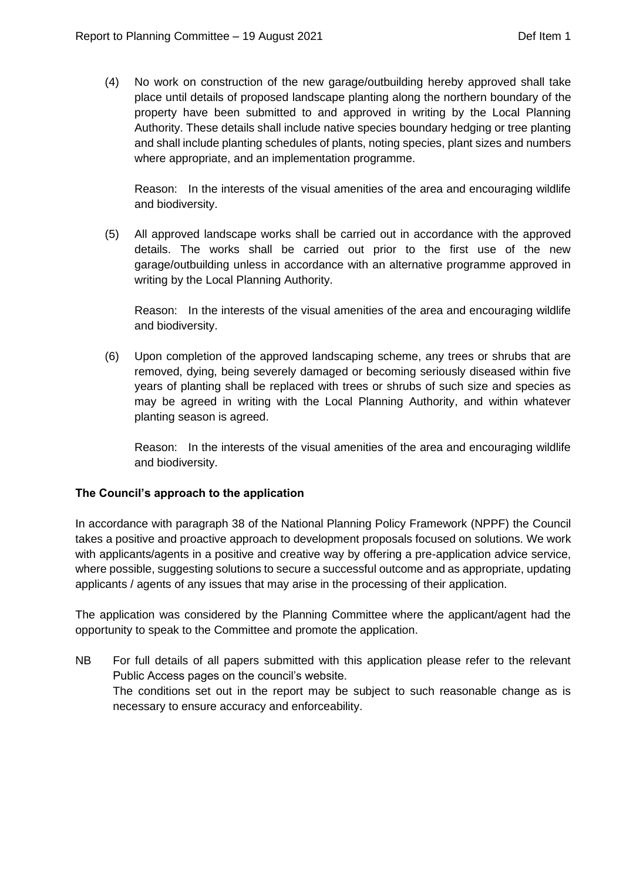(4) No work on construction of the new garage/outbuilding hereby approved shall take place until details of proposed landscape planting along the northern boundary of the property have been submitted to and approved in writing by the Local Planning Authority. These details shall include native species boundary hedging or tree planting and shall include planting schedules of plants, noting species, plant sizes and numbers where appropriate, and an implementation programme.

Reason: In the interests of the visual amenities of the area and encouraging wildlife and biodiversity.

(5) All approved landscape works shall be carried out in accordance with the approved details. The works shall be carried out prior to the first use of the new garage/outbuilding unless in accordance with an alternative programme approved in writing by the Local Planning Authority.

Reason: In the interests of the visual amenities of the area and encouraging wildlife and biodiversity.

(6) Upon completion of the approved landscaping scheme, any trees or shrubs that are removed, dying, being severely damaged or becoming seriously diseased within five years of planting shall be replaced with trees or shrubs of such size and species as may be agreed in writing with the Local Planning Authority, and within whatever planting season is agreed.

Reason: In the interests of the visual amenities of the area and encouraging wildlife and biodiversity.

# **The Council's approach to the application**

In accordance with paragraph 38 of the National Planning Policy Framework (NPPF) the Council takes a positive and proactive approach to development proposals focused on solutions. We work with applicants/agents in a positive and creative way by offering a pre-application advice service, where possible, suggesting solutions to secure a successful outcome and as appropriate, updating applicants / agents of any issues that may arise in the processing of their application.

The application was considered by the Planning Committee where the applicant/agent had the opportunity to speak to the Committee and promote the application.

NB For full details of all papers submitted with this application please refer to the relevant Public Access pages on the council's website. The conditions set out in the report may be subject to such reasonable change as is necessary to ensure accuracy and enforceability.